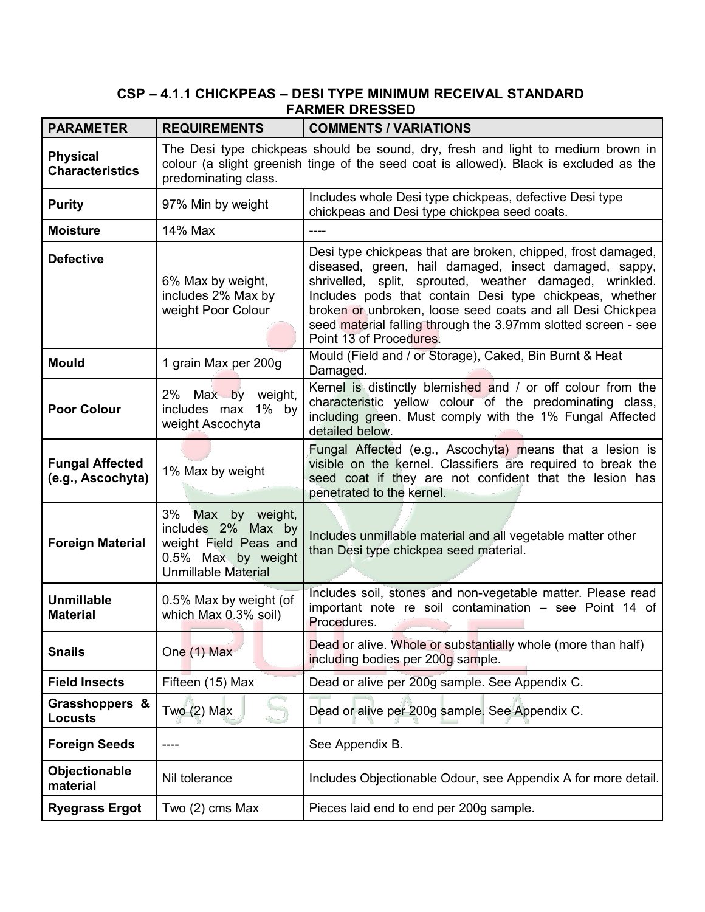# **CSP – 4.1.1 CHICKPEAS – DESI TYPE MINIMUM RECEIVAL STANDARD FARMER DRESSED**

| <b>PARAMETER</b>                            | <b>REQUIREMENTS</b>                                                                                                     | <b>COMMENTS / VARIATIONS</b>                                                                                                                                                                                                                                                                                                                                                                          |
|---------------------------------------------|-------------------------------------------------------------------------------------------------------------------------|-------------------------------------------------------------------------------------------------------------------------------------------------------------------------------------------------------------------------------------------------------------------------------------------------------------------------------------------------------------------------------------------------------|
| <b>Physical</b><br><b>Characteristics</b>   | predominating class.                                                                                                    | The Desi type chickpeas should be sound, dry, fresh and light to medium brown in<br>colour (a slight greenish tinge of the seed coat is allowed). Black is excluded as the                                                                                                                                                                                                                            |
| <b>Purity</b>                               | 97% Min by weight                                                                                                       | Includes whole Desi type chickpeas, defective Desi type<br>chickpeas and Desi type chickpea seed coats.                                                                                                                                                                                                                                                                                               |
| <b>Moisture</b>                             | 14% Max                                                                                                                 | ----                                                                                                                                                                                                                                                                                                                                                                                                  |
| <b>Defective</b>                            | 6% Max by weight,<br>includes 2% Max by<br>weight Poor Colour                                                           | Desi type chickpeas that are broken, chipped, frost damaged,<br>diseased, green, hail damaged, insect damaged, sappy,<br>shrivelled, split, sprouted, weather damaged, wrinkled.<br>Includes pods that contain Desi type chickpeas, whether<br>broken or unbroken, loose seed coats and all Desi Chickpea<br>seed material falling through the 3.97mm slotted screen - see<br>Point 13 of Procedures. |
| <b>Mould</b>                                | 1 grain Max per 200g                                                                                                    | Mould (Field and / or Storage), Caked, Bin Burnt & Heat<br>Damaged.                                                                                                                                                                                                                                                                                                                                   |
| <b>Poor Colour</b>                          | 2% Max by weight,<br>includes max 1% by<br>weight Ascochyta                                                             | Kernel is distinctly blemished and / or off colour from the<br>characteristic yellow colour of the predominating class,<br>including green. Must comply with the 1% Fungal Affected<br>detailed below.                                                                                                                                                                                                |
| <b>Fungal Affected</b><br>(e.g., Ascochyta) | 1% Max by weight                                                                                                        | Fungal Affected (e.g., Ascochyta) means that a lesion is<br>visible on the kernel. Classifiers are required to break the<br>seed coat if they are not confident that the lesion has<br>penetrated to the kernel.                                                                                                                                                                                      |
| <b>Foreign Material</b>                     | 3%<br>Max by weight,<br>includes 2% Max by<br>weight Field Peas and<br>0.5% Max by weight<br><b>Unmillable Material</b> | Includes unmillable material and all vegetable matter other<br>than Desi type chickpea seed material.                                                                                                                                                                                                                                                                                                 |
| <b>Unmillable</b><br><b>Material</b>        | 0.5% Max by weight (of<br>which Max 0.3% soil)                                                                          | Includes soil, stones and non-vegetable matter. Please read<br>important note re soil contamination - see Point 14 of<br>Procedures.                                                                                                                                                                                                                                                                  |
| <b>Snails</b>                               | One (1) Max                                                                                                             | Dead or alive. Whole or substantially whole (more than half)<br>including bodies per 200g sample.                                                                                                                                                                                                                                                                                                     |
| <b>Field Insects</b>                        | Fifteen (15) Max                                                                                                        | Dead or alive per 200g sample. See Appendix C.                                                                                                                                                                                                                                                                                                                                                        |
| Grasshoppers &<br><b>Locusts</b>            | Two $(2)$ Max                                                                                                           | Dead or alive per 200g sample. See Appendix C.                                                                                                                                                                                                                                                                                                                                                        |
| <b>Foreign Seeds</b>                        |                                                                                                                         | See Appendix B.                                                                                                                                                                                                                                                                                                                                                                                       |
| Objectionable<br>material                   | Nil tolerance                                                                                                           | Includes Objectionable Odour, see Appendix A for more detail.                                                                                                                                                                                                                                                                                                                                         |
| <b>Ryegrass Ergot</b>                       | Two (2) cms Max                                                                                                         | Pieces laid end to end per 200g sample.                                                                                                                                                                                                                                                                                                                                                               |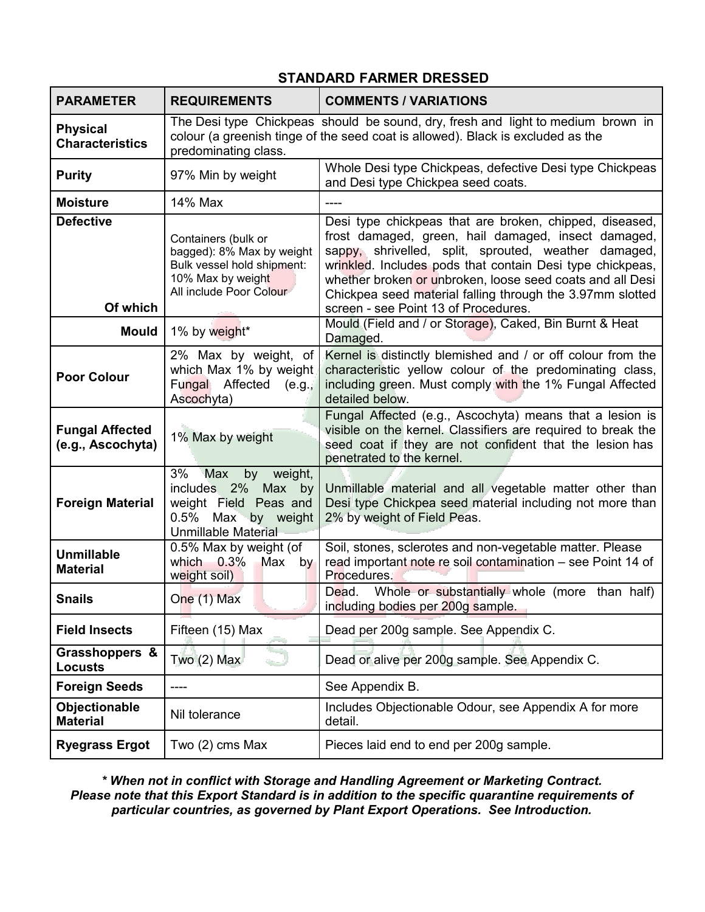#### **PARAMETER REQUIREMENTS COMMENTS / VARIATIONS Physical Characteristics** The Desi type Chickpeas should be sound, dry, fresh and light to medium brown in colour (a greenish tinge of the seed coat is allowed). Black is excluded as the predominating class. **Purity** 97% Min by weight Whole Desi type Chickpeas, defective Desi type Chickpeas and Desi type Chickpea seed coats. **Moisture** 14% Max ---**Defective Of which** Containers (bulk or bagged): 8% Max by weight Bulk vessel hold shipment: 10% Max by weight All include Poor Colour Desi type chickpeas that are broken, chipped, diseased, frost damaged, green, hail damaged, insect damaged, sappy, shrivelled, split, sprouted, weather damaged, wrinkled. Includes pods that contain Desi type chickpeas, whether broken or unbroken, loose seed coats and all Desi Chickpea seed material falling through the 3.97mm slotted screen - see Point 13 of Procedures. **Mould** 1% by weight\* Mould (Field and / or Storage), Caked, Bin Burnt & Heat Damaged. **Poor Colour** 2% Max by weight, of which Max 1% by weight Fungal Affected (e.g., Ascochyta) Kernel is distinctly blemished and / or off colour from the characteristic yellow colour of the predominating class, including green. Must comply with the 1% Fungal Affected detailed below. **Fungal Affected (e.g., Ascochyta)** 1% Max by weight Fungal Affected (e.g., Ascochyta) means that a lesion is visible on the kernel. Classifiers are required to break the seed coat if they are not confident that the lesion has penetrated to the kernel. **Foreign Material** 3% Max by weight, includes 2% Max by weight Field Peas and 0.5% Max by weight Unmillable Material Unmillable material and all vegetable matter other than Desi type Chickpea seed material including not more than 2% by weight of Field Peas. **Unmillable Material** 0.5% Max by weight (of which  $0.3\%$  Max by weight soil) Soil, stones, sclerotes and non-vegetable matter. Please read important note re soil contamination – see Point 14 of Procedures. **Snails** One (1) Max Dead. Whole or substantially whole (more than half) including bodies per 200g sample. **Field Insects** Fifteen (15) Max Dead per 200g sample. See Appendix C. **Grasshoppers & Locusts Completion Completion Complete Appendix C.** Dead or alive per 200g sample. See Appendix C. **Foreign Seeds**  $\vert$  ---- See Appendix B. **Objectionable Objectionable** Nil tolerance **Includes Objectionable Odour, see Appendix A for more**<br>Material detail. **Ryegrass Ergot** Two (2) cms Max Pieces laid end to end per 200g sample.

# **STANDARD FARMER DRESSED**

*\* When not in conflict with Storage and Handling Agreement or Marketing Contract. Please note that this Export Standard is in addition to the specific quarantine requirements of particular countries, as governed by Plant Export Operations. See Introduction.*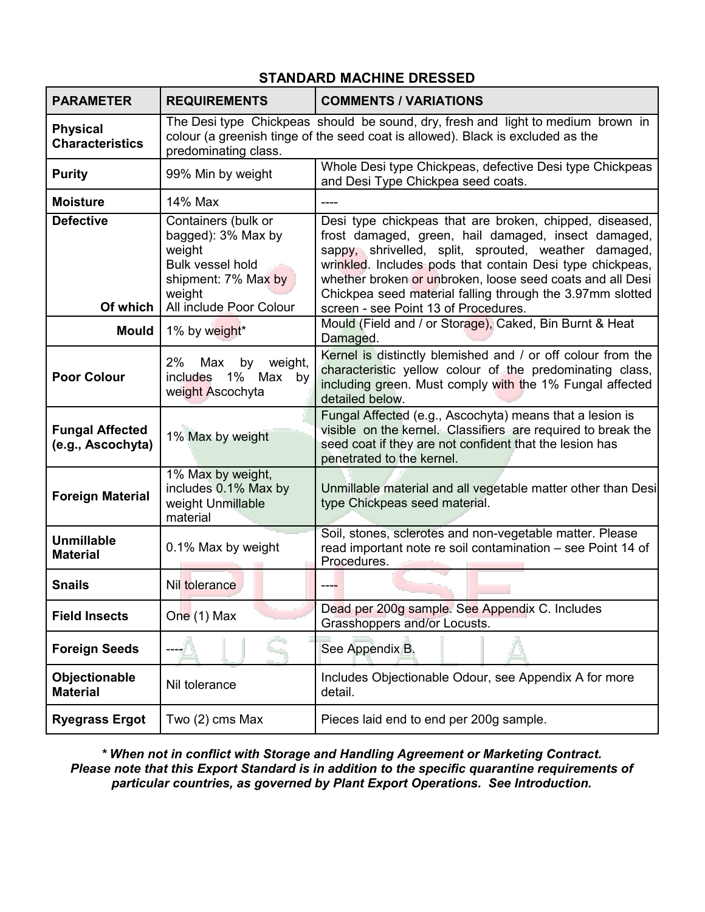| <b>PARAMETER</b>                            | <b>REQUIREMENTS</b>                                                                                                                        | <b>COMMENTS / VARIATIONS</b>                                                                                                                                                                                                                                                                                                                                  |
|---------------------------------------------|--------------------------------------------------------------------------------------------------------------------------------------------|---------------------------------------------------------------------------------------------------------------------------------------------------------------------------------------------------------------------------------------------------------------------------------------------------------------------------------------------------------------|
| <b>Physical</b><br><b>Characteristics</b>   | predominating class.                                                                                                                       | The Desi type Chickpeas should be sound, dry, fresh and light to medium brown in<br>colour (a greenish tinge of the seed coat is allowed). Black is excluded as the                                                                                                                                                                                           |
| <b>Purity</b>                               | 99% Min by weight                                                                                                                          | Whole Desi type Chickpeas, defective Desi type Chickpeas<br>and Desi Type Chickpea seed coats.                                                                                                                                                                                                                                                                |
| <b>Moisture</b>                             | 14% Max                                                                                                                                    |                                                                                                                                                                                                                                                                                                                                                               |
| <b>Defective</b><br>Of which                | Containers (bulk or<br>bagged): 3% Max by<br>weight<br><b>Bulk vessel hold</b><br>shipment: 7% Max by<br>weight<br>All include Poor Colour | Desi type chickpeas that are broken, chipped, diseased,<br>frost damaged, green, hail damaged, insect damaged,<br>sappy, shrivelled, split, sprouted, weather damaged,<br>wrinkled. Includes pods that contain Desi type chickpeas,<br>whether broken or unbroken, loose seed coats and all Desi<br>Chickpea seed material falling through the 3.97mm slotted |
| <b>Mould</b>                                | 1% by weight*                                                                                                                              | screen - see Point 13 of Procedures.<br>Mould (Field and / or Storage), Caked, Bin Burnt & Heat<br>Damaged.                                                                                                                                                                                                                                                   |
| <b>Poor Colour</b>                          | 2%<br>by<br>Max<br>weight,<br>1% Max by<br>includes<br>weight Ascochyta                                                                    | Kernel is distinctly blemished and / or off colour from the<br>characteristic yellow colour of the predominating class,<br>including green. Must comply with the 1% Fungal affected<br>detailed below.                                                                                                                                                        |
| <b>Fungal Affected</b><br>(e.g., Ascochyta) | 1% Max by weight                                                                                                                           | Fungal Affected (e.g., Ascochyta) means that a lesion is<br>visible on the kernel. Classifiers are required to break the<br>seed coat if they are not confident that the lesion has<br>penetrated to the kernel.                                                                                                                                              |
| <b>Foreign Material</b>                     | 1% Max by weight,<br>includes 0.1% Max by<br>weight Unmillable<br>material                                                                 | Unmillable material and all vegetable matter other than Desi<br>type Chickpeas seed material.                                                                                                                                                                                                                                                                 |
| <b>Unmillable</b><br><b>Material</b>        | 0.1% Max by weight                                                                                                                         | Soil, stones, sclerotes and non-vegetable matter. Please<br>read important note re soil contamination - see Point 14 of<br>Procedures.                                                                                                                                                                                                                        |
| <b>Snails</b>                               | Nil tolerance                                                                                                                              |                                                                                                                                                                                                                                                                                                                                                               |
| <b>Field Insects</b>                        | One (1) Max                                                                                                                                | Dead per 200g sample. See Appendix C. Includes<br>Grasshoppers and/or Locusts.                                                                                                                                                                                                                                                                                |
| <b>Foreign Seeds</b>                        |                                                                                                                                            | See Appendix B.                                                                                                                                                                                                                                                                                                                                               |
| Objectionable<br><b>Material</b>            | Nil tolerance                                                                                                                              | Includes Objectionable Odour, see Appendix A for more<br>detail.                                                                                                                                                                                                                                                                                              |
| <b>Ryegrass Ergot</b>                       | Two (2) cms Max                                                                                                                            | Pieces laid end to end per 200g sample.                                                                                                                                                                                                                                                                                                                       |

# **STANDARD MACHINE DRESSED**

*\* When not in conflict with Storage and Handling Agreement or Marketing Contract. Please note that this Export Standard is in addition to the specific quarantine requirements of particular countries, as governed by Plant Export Operations. See Introduction.*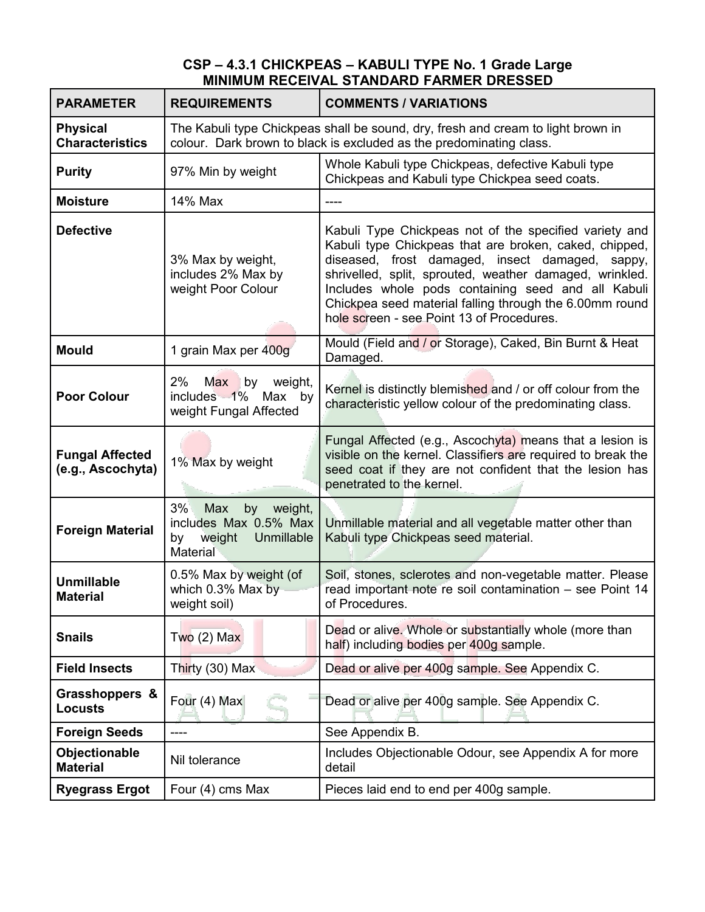### **CSP – 4.3.1 CHICKPEAS – KABULI TYPE No. 1 Grade Large MINIMUM RECEIVAL STANDARD FARMER DRESSED**

| <b>PARAMETER</b>                            | <b>REQUIREMENTS</b>                                                                           | <b>COMMENTS / VARIATIONS</b>                                                                                                                                                                                                                                                                                                                                                                    |
|---------------------------------------------|-----------------------------------------------------------------------------------------------|-------------------------------------------------------------------------------------------------------------------------------------------------------------------------------------------------------------------------------------------------------------------------------------------------------------------------------------------------------------------------------------------------|
| <b>Physical</b><br><b>Characteristics</b>   |                                                                                               | The Kabuli type Chickpeas shall be sound, dry, fresh and cream to light brown in<br>colour. Dark brown to black is excluded as the predominating class.                                                                                                                                                                                                                                         |
| <b>Purity</b>                               | 97% Min by weight                                                                             | Whole Kabuli type Chickpeas, defective Kabuli type<br>Chickpeas and Kabuli type Chickpea seed coats.                                                                                                                                                                                                                                                                                            |
| <b>Moisture</b>                             | 14% Max                                                                                       |                                                                                                                                                                                                                                                                                                                                                                                                 |
| <b>Defective</b>                            | 3% Max by weight,<br>includes 2% Max by<br>weight Poor Colour                                 | Kabuli Type Chickpeas not of the specified variety and<br>Kabuli type Chickpeas that are broken, caked, chipped,<br>diseased, frost damaged, insect damaged,<br>sappy,<br>shrivelled, split, sprouted, weather damaged, wrinkled.<br>Includes whole pods containing seed and all Kabuli<br>Chickpea seed material falling through the 6.00mm round<br>hole screen - see Point 13 of Procedures. |
| <b>Mould</b>                                | 1 grain Max per 400g                                                                          | Mould (Field and / or Storage), Caked, Bin Burnt & Heat<br>Damaged.                                                                                                                                                                                                                                                                                                                             |
| <b>Poor Colour</b>                          | 2%<br>Max<br>by<br>weight,<br>includes 1%<br>Max by<br>weight Fungal Affected                 | Kernel is distinctly blemished and / or off colour from the<br>characteristic yellow colour of the predominating class.                                                                                                                                                                                                                                                                         |
| <b>Fungal Affected</b><br>(e.g., Ascochyta) | 1% Max by weight                                                                              | Fungal Affected (e.g., Ascochyta) means that a lesion is<br>visible on the kernel. Classifiers are required to break the<br>seed coat if they are not confident that the lesion has<br>penetrated to the kernel.                                                                                                                                                                                |
| <b>Foreign Material</b>                     | 3%<br>weight,<br>Max<br>by<br>includes Max 0.5% Max<br>Unmillable<br>weight<br>by<br>Material | Unmillable material and all vegetable matter other than<br>Kabuli type Chickpeas seed material.                                                                                                                                                                                                                                                                                                 |
| <b>Unmillable</b><br><b>Material</b>        | 0.5% Max by weight (of<br>which 0.3% Max by<br>weight soil)                                   | Soil, stones, sclerotes and non-vegetable matter. Please<br>read important note re soil contamination - see Point 14<br>of Procedures.                                                                                                                                                                                                                                                          |
| <b>Snails</b>                               | $Two(2)$ Max                                                                                  | Dead or alive. Whole or substantially whole (more than<br>half) including bodies per 400g sample.                                                                                                                                                                                                                                                                                               |
| <b>Field Insects</b>                        | Thirty (30) Max                                                                               | Dead or alive per 400g sample. See Appendix C.                                                                                                                                                                                                                                                                                                                                                  |
| Grasshoppers &<br><b>Locusts</b>            | Four (4) Max                                                                                  | Dead or alive per 400g sample. See Appendix C.                                                                                                                                                                                                                                                                                                                                                  |
| <b>Foreign Seeds</b>                        |                                                                                               | See Appendix B.                                                                                                                                                                                                                                                                                                                                                                                 |
| Objectionable<br><b>Material</b>            | Nil tolerance                                                                                 | Includes Objectionable Odour, see Appendix A for more<br>detail                                                                                                                                                                                                                                                                                                                                 |
| <b>Ryegrass Ergot</b>                       | Four (4) cms Max                                                                              | Pieces laid end to end per 400g sample.                                                                                                                                                                                                                                                                                                                                                         |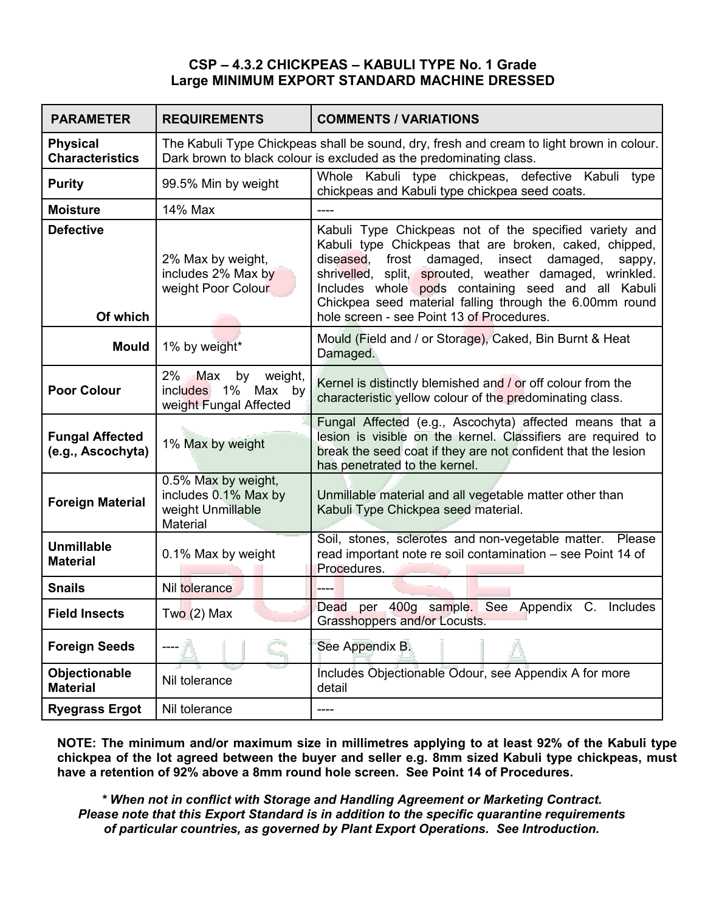## **CSP – 4.3.2 CHICKPEAS – KABULI TYPE No. 1 Grade Large MINIMUM EXPORT STANDARD MACHINE DRESSED**

| <b>PARAMETER</b>                            | <b>REQUIREMENTS</b>                                                           | <b>COMMENTS / VARIATIONS</b>                                                                                                                                                                                                                                                                                                                       |
|---------------------------------------------|-------------------------------------------------------------------------------|----------------------------------------------------------------------------------------------------------------------------------------------------------------------------------------------------------------------------------------------------------------------------------------------------------------------------------------------------|
| <b>Physical</b><br><b>Characteristics</b>   |                                                                               | The Kabuli Type Chickpeas shall be sound, dry, fresh and cream to light brown in colour.<br>Dark brown to black colour is excluded as the predominating class.                                                                                                                                                                                     |
| <b>Purity</b>                               | 99.5% Min by weight                                                           | Whole Kabuli type chickpeas, defective Kabuli type<br>chickpeas and Kabuli type chickpea seed coats.                                                                                                                                                                                                                                               |
| <b>Moisture</b>                             | 14% Max                                                                       |                                                                                                                                                                                                                                                                                                                                                    |
| <b>Defective</b>                            | 2% Max by weight,<br>includes 2% Max by<br>weight Poor Colour                 | Kabuli Type Chickpeas not of the specified variety and<br>Kabuli type Chickpeas that are broken, caked, chipped,<br>diseased, frost damaged, insect damaged,<br>sappy,<br>shrivelled, split, sprouted, weather damaged, wrinkled.<br>Includes whole pods containing seed and all Kabuli<br>Chickpea seed material falling through the 6.00mm round |
| Of which                                    |                                                                               | hole screen - see Point 13 of Procedures.                                                                                                                                                                                                                                                                                                          |
| <b>Mould</b>                                | 1% by weight*                                                                 | Mould (Field and / or Storage), Caked, Bin Burnt & Heat<br>Damaged.                                                                                                                                                                                                                                                                                |
| <b>Poor Colour</b>                          | $2\%$<br>by<br>Max<br>weight,<br>includes 1% Max by<br>weight Fungal Affected | Kernel is distinctly blemished and / or off colour from the<br>characteristic yellow colour of the predominating class.                                                                                                                                                                                                                            |
| <b>Fungal Affected</b><br>(e.g., Ascochyta) | 1% Max by weight                                                              | Fungal Affected (e.g., Ascochyta) affected means that a<br>lesion is visible on the kernel. Classifiers are required to<br>break the seed coat if they are not confident that the lesion<br>has penetrated to the kernel.                                                                                                                          |
| <b>Foreign Material</b>                     | 0.5% Max by weight,<br>includes 0.1% Max by<br>weight Unmillable<br>Material  | Unmillable material and all vegetable matter other than<br>Kabuli Type Chickpea seed material.                                                                                                                                                                                                                                                     |
| <b>Unmillable</b><br><b>Material</b>        | 0.1% Max by weight                                                            | Soil, stones, sclerotes and non-vegetable matter. Please<br>read important note re soil contamination - see Point 14 of<br>Procedures.                                                                                                                                                                                                             |
| <b>Snails</b>                               | Nil tolerance                                                                 |                                                                                                                                                                                                                                                                                                                                                    |
| <b>Field Insects</b>                        | Two (2) Max                                                                   | per 400g sample. See Appendix C. Includes<br>Dead<br>Grasshoppers and/or Locusts.                                                                                                                                                                                                                                                                  |
| <b>Foreign Seeds</b>                        |                                                                               | See Appendix B.                                                                                                                                                                                                                                                                                                                                    |
| Objectionable<br><b>Material</b>            | Nil tolerance                                                                 | Includes Objectionable Odour, see Appendix A for more<br>detail                                                                                                                                                                                                                                                                                    |
| <b>Ryegrass Ergot</b>                       | Nil tolerance                                                                 |                                                                                                                                                                                                                                                                                                                                                    |

**NOTE: The minimum and/or maximum size in millimetres applying to at least 92% of the Kabuli type chickpea of the lot agreed between the buyer and seller e.g. 8mm sized Kabuli type chickpeas, must have a retention of 92% above a 8mm round hole screen. See Point 14 of Procedures.**

*\* When not in conflict with Storage and Handling Agreement or Marketing Contract. Please note that this Export Standard is in addition to the specific quarantine requirements of particular countries, as governed by Plant Export Operations. See Introduction.*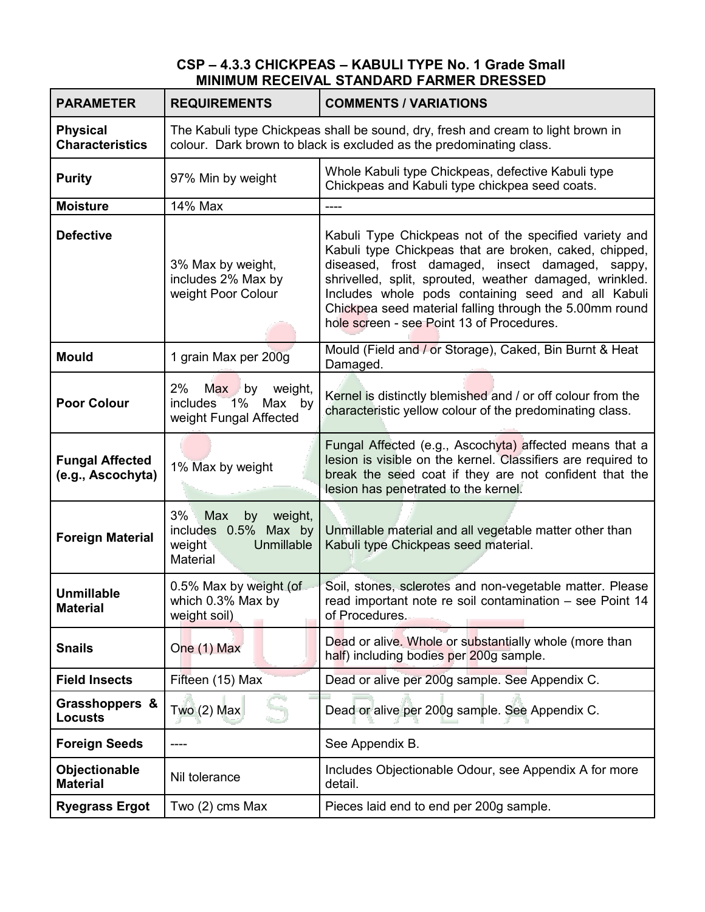### **CSP – 4.3.3 CHICKPEAS – KABULI TYPE No. 1 Grade Small MINIMUM RECEIVAL STANDARD FARMER DRESSED**

| <b>PARAMETER</b>                            | <b>REQUIREMENTS</b>                                                                 | <b>COMMENTS / VARIATIONS</b>                                                                                                                                                                                                                                                                                                                                                                 |
|---------------------------------------------|-------------------------------------------------------------------------------------|----------------------------------------------------------------------------------------------------------------------------------------------------------------------------------------------------------------------------------------------------------------------------------------------------------------------------------------------------------------------------------------------|
| <b>Physical</b><br><b>Characteristics</b>   |                                                                                     | The Kabuli type Chickpeas shall be sound, dry, fresh and cream to light brown in<br>colour. Dark brown to black is excluded as the predominating class.                                                                                                                                                                                                                                      |
| <b>Purity</b>                               | 97% Min by weight                                                                   | Whole Kabuli type Chickpeas, defective Kabuli type<br>Chickpeas and Kabuli type chickpea seed coats.                                                                                                                                                                                                                                                                                         |
| <b>Moisture</b>                             | 14% Max                                                                             | ----                                                                                                                                                                                                                                                                                                                                                                                         |
| <b>Defective</b>                            | 3% Max by weight,<br>includes 2% Max by<br>weight Poor Colour                       | Kabuli Type Chickpeas not of the specified variety and<br>Kabuli type Chickpeas that are broken, caked, chipped,<br>diseased, frost damaged, insect damaged, sappy,<br>shrivelled, split, sprouted, weather damaged, wrinkled.<br>Includes whole pods containing seed and all Kabuli<br>Chickpea seed material falling through the 5.00mm round<br>hole screen - see Point 13 of Procedures. |
| <b>Mould</b>                                | 1 grain Max per 200g                                                                | Mould (Field and / or Storage), Caked, Bin Burnt & Heat<br>Damaged.                                                                                                                                                                                                                                                                                                                          |
| <b>Poor Colour</b>                          | 2%<br>Max by<br>weight,<br>$-1\%$<br>includes<br>Max by<br>weight Fungal Affected   | Kernel is distinctly blemished and / or off colour from the<br>characteristic yellow colour of the predominating class.                                                                                                                                                                                                                                                                      |
| <b>Fungal Affected</b><br>(e.g., Ascochyta) | 1% Max by weight                                                                    | Fungal Affected (e.g., Ascochyta) affected means that a<br>lesion is visible on the kernel. Classifiers are required to<br>break the seed coat if they are not confident that the<br>lesion has penetrated to the kernel.                                                                                                                                                                    |
| <b>Foreign Material</b>                     | 3%<br>by weight,<br>Max<br>includes 0.5% Max by<br>weight<br>Unmillable<br>Material | Unmillable material and all vegetable matter other than<br>Kabuli type Chickpeas seed material.                                                                                                                                                                                                                                                                                              |
| <b>Unmillable</b><br><b>Material</b>        | 0.5% Max by weight (of<br>which 0.3% Max by<br>weight soil)                         | Soil, stones, sclerotes and non-vegetable matter. Please<br>read important note re soil contamination - see Point 14<br>of Procedures.                                                                                                                                                                                                                                                       |
| <b>Snails</b>                               | One (1) Max                                                                         | Dead or alive. Whole or substantially whole (more than<br>half) including bodies per 200g sample.                                                                                                                                                                                                                                                                                            |
| <b>Field Insects</b>                        | Fifteen (15) Max                                                                    | Dead or alive per 200g sample. See Appendix C.                                                                                                                                                                                                                                                                                                                                               |
| Grasshoppers &<br><b>Locusts</b>            | Two $(2)$ Max                                                                       | Dead or alive per 200g sample. See Appendix C.                                                                                                                                                                                                                                                                                                                                               |
| <b>Foreign Seeds</b>                        |                                                                                     | See Appendix B.                                                                                                                                                                                                                                                                                                                                                                              |
| Objectionable<br><b>Material</b>            | Nil tolerance                                                                       | Includes Objectionable Odour, see Appendix A for more<br>detail.                                                                                                                                                                                                                                                                                                                             |
| <b>Ryegrass Ergot</b>                       | Two (2) cms Max                                                                     | Pieces laid end to end per 200g sample.                                                                                                                                                                                                                                                                                                                                                      |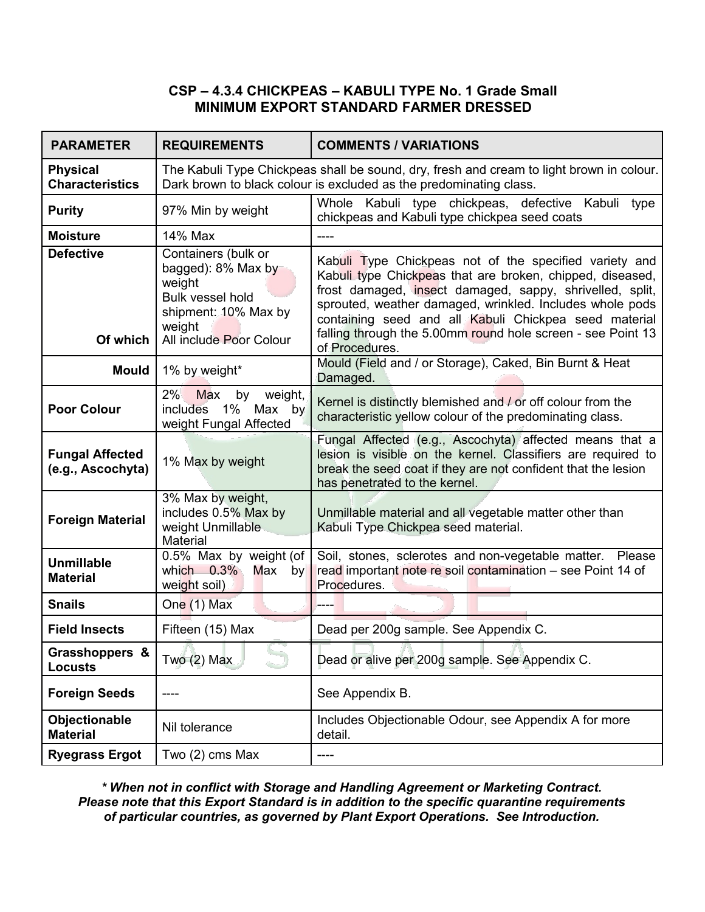## **CSP – 4.3.4 CHICKPEAS – KABULI TYPE No. 1 Grade Small MINIMUM EXPORT STANDARD FARMER DRESSED**

| <b>PARAMETER</b>                            | <b>REQUIREMENTS</b>                                                                                                                         | <b>COMMENTS / VARIATIONS</b>                                                                                                                                                                                                                                                                                                                                                          |
|---------------------------------------------|---------------------------------------------------------------------------------------------------------------------------------------------|---------------------------------------------------------------------------------------------------------------------------------------------------------------------------------------------------------------------------------------------------------------------------------------------------------------------------------------------------------------------------------------|
| <b>Physical</b><br><b>Characteristics</b>   |                                                                                                                                             | The Kabuli Type Chickpeas shall be sound, dry, fresh and cream to light brown in colour.<br>Dark brown to black colour is excluded as the predominating class.                                                                                                                                                                                                                        |
| <b>Purity</b>                               | 97% Min by weight                                                                                                                           | Whole Kabuli type chickpeas, defective Kabuli type<br>chickpeas and Kabuli type chickpea seed coats                                                                                                                                                                                                                                                                                   |
| <b>Moisture</b>                             | 14% Max                                                                                                                                     | $---$                                                                                                                                                                                                                                                                                                                                                                                 |
| <b>Defective</b><br>Of which                | Containers (bulk or<br>bagged): 8% Max by<br>weight<br><b>Bulk vessel hold</b><br>shipment: 10% Max by<br>weight<br>All include Poor Colour | Kabuli Type Chickpeas not of the specified variety and<br>Kabuli type Chickpeas that are broken, chipped, diseased,<br>frost damaged, insect damaged, sappy, shrivelled, split,<br>sprouted, weather damaged, wrinkled. Includes whole pods<br>containing seed and all Kabuli Chickpea seed material<br>falling through the 5.00mm round hole screen - see Point 13<br>of Procedures. |
| <b>Mould</b>                                | 1% by weight*                                                                                                                               | Mould (Field and / or Storage), Caked, Bin Burnt & Heat<br>Damaged.                                                                                                                                                                                                                                                                                                                   |
| <b>Poor Colour</b>                          | 2%<br>weight,<br><b>Max</b><br>by<br>$1\%$<br>includes<br>Max by<br>weight Fungal Affected                                                  | Kernel is distinctly blemished and / or off colour from the<br>characteristic yellow colour of the predominating class.                                                                                                                                                                                                                                                               |
| <b>Fungal Affected</b><br>(e.g., Ascochyta) | 1% Max by weight                                                                                                                            | Fungal Affected (e.g., Ascochyta) affected means that a<br>lesion is visible/on the kernel. Classifiers are required to<br>break the seed coat if they are not confident that the lesion<br>has penetrated to the kernel.                                                                                                                                                             |
| <b>Foreign Material</b>                     | 3% Max by weight,<br>includes 0.5% Max by<br>weight Unmillable<br><b>Material</b>                                                           | Unmillable material and all vegetable matter other than<br>Kabuli Type Chickpea seed material.                                                                                                                                                                                                                                                                                        |
| <b>Unmillable</b><br><b>Material</b>        | 0.5% Max by weight (of<br>which 0.3% Max by<br>weight soil)                                                                                 | Soil, stones, sclerotes and non-vegetable matter. Please<br>read important note re soil contamination - see Point 14 of<br>Procedures.                                                                                                                                                                                                                                                |
| <b>Snails</b>                               | One (1) Max                                                                                                                                 |                                                                                                                                                                                                                                                                                                                                                                                       |
| <b>Field Insects</b>                        | Fifteen (15) Max                                                                                                                            | Dead per 200g sample. See Appendix C.                                                                                                                                                                                                                                                                                                                                                 |
| Grasshoppers &<br><b>Locusts</b>            | Two $(2)$ Max                                                                                                                               | Dead or alive per 200g sample. See Appendix C.                                                                                                                                                                                                                                                                                                                                        |
| <b>Foreign Seeds</b>                        |                                                                                                                                             | See Appendix B.                                                                                                                                                                                                                                                                                                                                                                       |
| Objectionable<br><b>Material</b>            | Nil tolerance                                                                                                                               | Includes Objectionable Odour, see Appendix A for more<br>detail.                                                                                                                                                                                                                                                                                                                      |
| <b>Ryegrass Ergot</b>                       | Two (2) cms Max                                                                                                                             | ----                                                                                                                                                                                                                                                                                                                                                                                  |

*\* When not in conflict with Storage and Handling Agreement or Marketing Contract. Please note that this Export Standard is in addition to the specific quarantine requirements of particular countries, as governed by Plant Export Operations. See Introduction.*